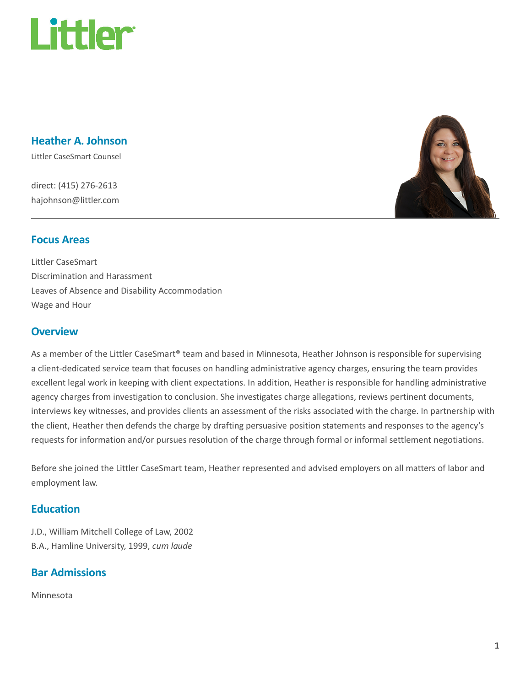

### Heather A. Johnson

Littler CaseSmart Counsel

direct: (415) 276-2613 hajohnson@littler.com



### Focus Areas

Littler CaseSmart Discrimination and Harassment Leaves of Absence and Disability Accommodation Wage and Hour

### **Overview**

As a member of the Littler CaseSmart® team and based in Minnesota, Heather Johnson is responsible for supervising a client-dedicated service team that focuses on handling administrative agency charges, ensuring the team provides excellent legal work in keeping with client expectations. In addition, Heather is responsible for handling administrative agency charges from investigation to conclusion. She investigates charge allegations, reviews pertinent documents, interviews key witnesses, and provides clients an assessment of the risks associated with the charge. In partnership with the client, Heather then defends the charge by drafting persuasive position statements and responses to the agency's requests for information and/or pursues resolution of the charge through formal or informal settlement negotiations.

Before she joined the Littler CaseSmart team, Heather represented and advised employers on all matters of labor and employment law.

### **Education**

J.D., William Mitchell College of Law, 2002 B.A., Hamline University, 1999, cum laude

## Bar Admissions

Minnesota